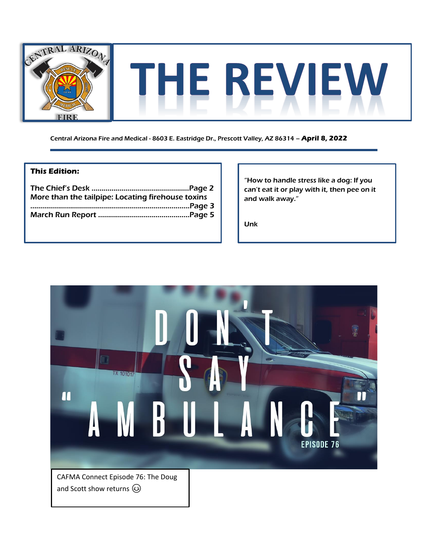

Central Arizona Fire and Medical - 8603 E. Eastridge Dr., Prescott Valley, AZ 86314 – **April 8, 2022**

### **This Edition:**

| More than the tailpipe: Locating firehouse toxins |  |
|---------------------------------------------------|--|
|                                                   |  |
|                                                   |  |

"How to handle stress like a dog: If you can't eat it or play with it, then pee on it and walk away."

Unk

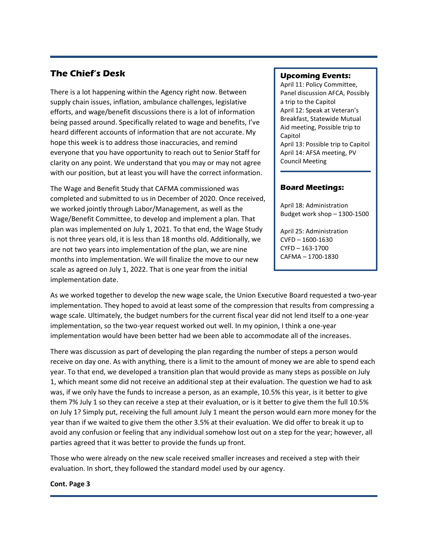## **The Chief's Desk**

There is a lot happening within the Agency right now. Between supply chain issues, inflation, ambulance challenges, legislative efforts, and wage/benefit discussions there is a lot of information being passed around. Specifically related to wage and benefits, I've heard different accounts of information that are not accurate. My hope this week is to address those inaccuracies, and remind everyone that you have opportunity to reach out to Senior Staff for clarity on any point. We understand that you may or may not agree with our position, but at least you will have the correct information.

The Wage and Benefit Study that CAFMA commissioned was completed and submitted to us in December of 2020. Once received, we worked jointly through Labor/Management, as well as the Wage/Benefit Committee, to develop and implement a plan. That plan was implemented on July 1, 2021. To that end, the Wage Study is not three years old, it is less than 18 months old. Additionally, we are not two years into implementation of the plan, we are nine months into implementation. We will finalize the move to our new scale as agreed on July 1, 2022. That is one year from the initial implementation date.

#### **Upcoming Events:**

April 11: Policy Committee, Panel discussion AFCA, Possibly a trip to the Capitol April 12: Speak at Veteran's Breakfast, Statewide Mutual Aid meeting, Possible trip to Capitol April 13: Possible trip to Capitol April 14: AFSA meeting, PV Council Meeting

### **Board Meetings:**

April 18: Administration Budget work shop – 1300-1500

April 25: Administration CVFD – 1600-1630 CYFD – 163-1700 CAFMA – 1700-1830

As we worked together to develop the new wage scale, the Union Executive Board requested a two-year implementation. They hoped to avoid at least some of the compression that results from compressing a wage scale. Ultimately, the budget numbers for the current fiscal year did not lend itself to a one-year implementation, so the two-year request worked out well. In my opinion, I think a one-year implementation would have been better had we been able to accommodate all of the increases.

There was discussion as part of developing the plan regarding the number of steps a person would receive on day one. As with anything, there is a limit to the amount of money we are able to spend each year. To that end, we developed a transition plan that would provide as many steps as possible on July 1, which meant some did not receive an additional step at their evaluation. The question we had to ask was, if we only have the funds to increase a person, as an example, 10.5% this year, is it better to give them 7% July 1 so they can receive a step at their evaluation, or is it better to give them the full 10.5% on July 1? Simply put, receiving the full amount July 1 meant the person would earn more money for the year than if we waited to give them the other 3.5% at their evaluation. We did offer to break it up to avoid any confusion or feeling that any individual somehow lost out on a step for the year; however, all parties agreed that it was better to provide the funds up front.

Those who were already on the new scale received smaller increases and received a step with their evaluation. In short, they followed the standard model used by our agency.

#### **Cont. Page 3**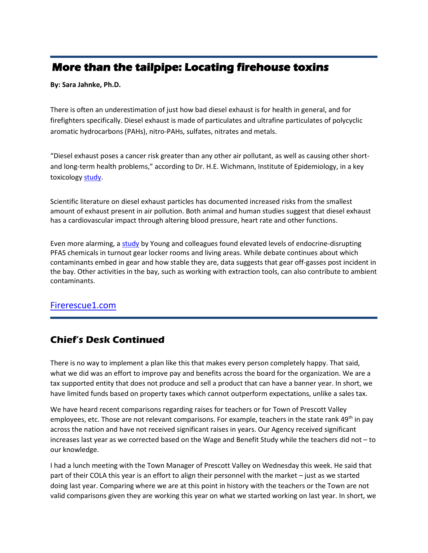## **More than the tailpipe: Locating firehouse toxins**

**By: Sara Jahnke, Ph.D.** 

There is often an underestimation of just how bad diesel exhaust is for health in general, and for firefighters specifically. Diesel exhaust is made of particulates and ultrafine particulates of polycyclic aromatic hydrocarbons (PAHs), nitro-PAHs, sulfates, nitrates and metals.

"Diesel exhaust poses a cancer risk greater than any other air pollutant, as well as causing other shortand long-term health problems," according to Dr. H.E. Wichmann, Institute of Epidemiology, in a key toxicology [study.](https://pubmed.ncbi.nlm.nih.gov/17886072/)

Scientific literature on diesel exhaust particles has documented increased risks from the smallest amount of exhaust present in air pollution. Both animal and human studies suggest that diesel exhaust has a cardiovascular impact through altering blood pressure, heart rate and other functions.

Even more alarming, a [study](https://www.nature.com/articles/s41370-021-00288-7) by Young and colleagues found elevated levels of endocrine-disrupting PFAS chemicals in turnout gear locker rooms and living areas. While debate continues about which contaminants embed in gear and how stable they are, data suggests that gear off-gasses post incident in the bay. Other activities in the bay, such as working with extraction tools, can also contribute to ambient contaminants.

## [Firerescue1.com](https://www.firerescue1.com/fire-products/vehicle-equipment/exhaust-removal-systems/articles/more-than-the-tailpipe-locating-firehouse-toxins-JTqD5mfpI0eijKiI/)

## **Chief's Desk Continued**

There is no way to implement a plan like this that makes every person completely happy. That said, what we did was an effort to improve pay and benefits across the board for the organization. We are a tax supported entity that does not produce and sell a product that can have a banner year. In short, we have limited funds based on property taxes which cannot outperform expectations, unlike a sales tax.

We have heard recent comparisons regarding raises for teachers or for Town of Prescott Valley employees, etc. Those are not relevant comparisons. For example, teachers in the state rank 49<sup>th</sup> in pay across the nation and have not received significant raises in years. Our Agency received significant increases last year as we corrected based on the Wage and Benefit Study while the teachers did not – to our knowledge.

I had a lunch meeting with the Town Manager of Prescott Valley on Wednesday this week. He said that part of their COLA this year is an effort to align their personnel with the market – just as we started doing last year. Comparing where we are at this point in history with the teachers or the Town are not valid comparisons given they are working this year on what we started working on last year. In short, we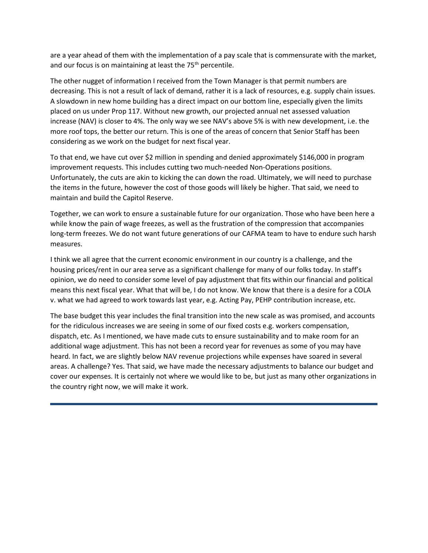are a year ahead of them with the implementation of a pay scale that is commensurate with the market, and our focus is on maintaining at least the 75<sup>th</sup> percentile.

The other nugget of information I received from the Town Manager is that permit numbers are decreasing. This is not a result of lack of demand, rather it is a lack of resources, e.g. supply chain issues. A slowdown in new home building has a direct impact on our bottom line, especially given the limits placed on us under Prop 117. Without new growth, our projected annual net assessed valuation increase (NAV) is closer to 4%. The only way we see NAV's above 5% is with new development, i.e. the more roof tops, the better our return. This is one of the areas of concern that Senior Staff has been considering as we work on the budget for next fiscal year.

To that end, we have cut over \$2 million in spending and denied approximately \$146,000 in program improvement requests. This includes cutting two much-needed Non-Operations positions. Unfortunately, the cuts are akin to kicking the can down the road. Ultimately, we will need to purchase the items in the future, however the cost of those goods will likely be higher. That said, we need to maintain and build the Capitol Reserve.

Together, we can work to ensure a sustainable future for our organization. Those who have been here a while know the pain of wage freezes, as well as the frustration of the compression that accompanies long-term freezes. We do not want future generations of our CAFMA team to have to endure such harsh measures.

I think we all agree that the current economic environment in our country is a challenge, and the housing prices/rent in our area serve as a significant challenge for many of our folks today. In staff's opinion, we do need to consider some level of pay adjustment that fits within our financial and political means this next fiscal year. What that will be, I do not know. We know that there is a desire for a COLA v. what we had agreed to work towards last year, e.g. Acting Pay, PEHP contribution increase, etc.

The base budget this year includes the final transition into the new scale as was promised, and accounts for the ridiculous increases we are seeing in some of our fixed costs e.g. workers compensation, dispatch, etc. As I mentioned, we have made cuts to ensure sustainability and to make room for an additional wage adjustment. This has not been a record year for revenues as some of you may have heard. In fact, we are slightly below NAV revenue projections while expenses have soared in several areas. A challenge? Yes. That said, we have made the necessary adjustments to balance our budget and cover our expenses. It is certainly not where we would like to be, but just as many other organizations in the country right now, we will make it work.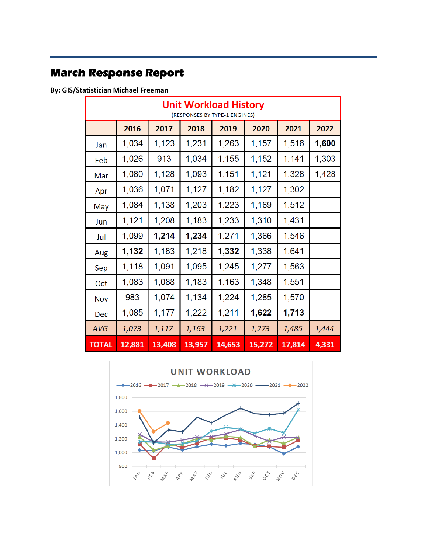## **March Response Report**

**By: GIS/Statistician Michael Freeman** 

|              | <b>Unit Workload History</b><br>(RESPONSES BY TYPE-1 ENGINES) |        |        |        |        |        |       |
|--------------|---------------------------------------------------------------|--------|--------|--------|--------|--------|-------|
|              | 2016                                                          | 2017   | 2018   | 2019   | 2020   | 2021   | 2022  |
| Jan          | 1,034                                                         | 1,123  | 1,231  | 1,263  | 1,157  | 1,516  | 1,600 |
| Feb          | 1,026                                                         | 913    | 1,034  | 1,155  | 1,152  | 1,141  | 1,303 |
| Mar          | 1,080                                                         | 1,128  | 1,093  | 1,151  | 1,121  | 1,328  | 1,428 |
| Apr          | 1,036                                                         | 1,071  | 1,127  | 1,182  | 1,127  | 1,302  |       |
| May          | 1,084                                                         | 1,138  | 1,203  | 1,223  | 1,169  | 1,512  |       |
| Jun          | 1,121                                                         | 1,208  | 1,183  | 1,233  | 1,310  | 1,431  |       |
| Jul          | 1,099                                                         | 1,214  | 1,234  | 1,271  | 1,366  | 1,546  |       |
| Aug          | 1,132                                                         | 1,183  | 1,218  | 1,332  | 1,338  | 1,641  |       |
| Sep          | 1,118                                                         | 1,091  | 1,095  | 1,245  | 1,277  | 1,563  |       |
| Oct          | 1,083                                                         | 1,088  | 1,183  | 1,163  | 1,348  | 1,551  |       |
| <b>Nov</b>   | 983                                                           | 1,074  | 1,134  | 1,224  | 1,285  | 1,570  |       |
| Dec          | 1,085                                                         | 1,177  | 1,222  | 1,211  | 1,622  | 1,713  |       |
| AVG          | 1,073                                                         | 1,117  | 1,163  | 1,221  | 1,273  | 1,485  | 1,444 |
| <b>TOTAL</b> | 12,881                                                        | 13,408 | 13,957 | 14,653 | 15,272 | 17,814 | 4,331 |